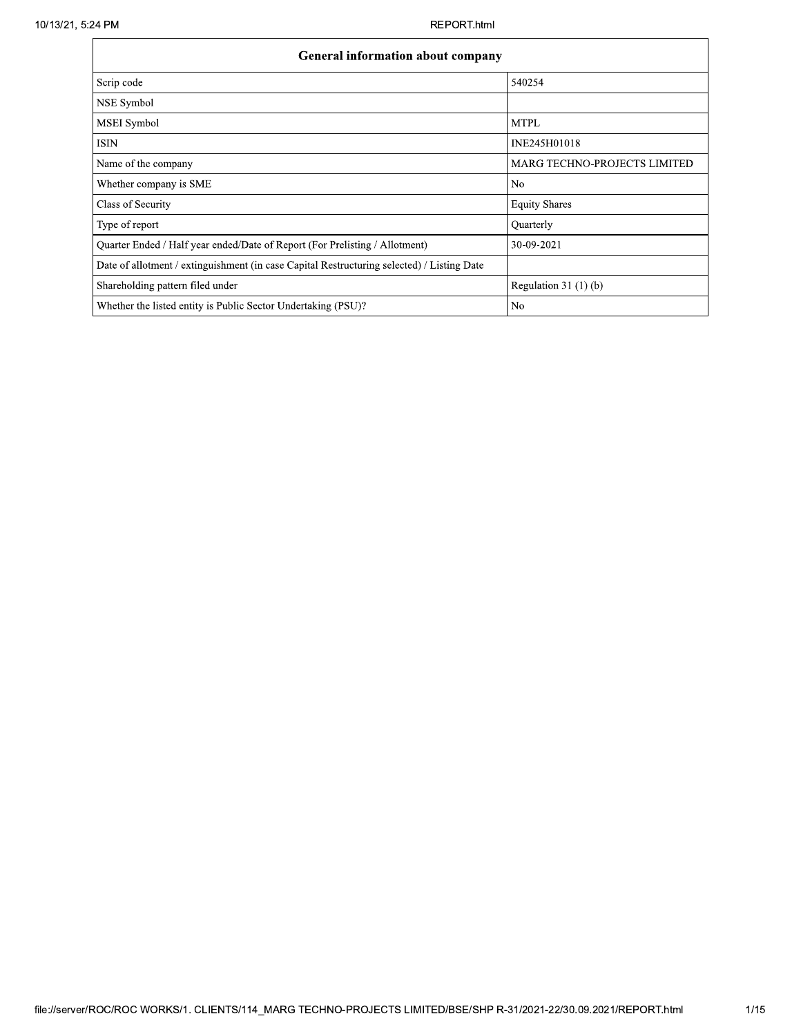| <b>General information about company</b>                                                   |                                     |  |  |  |  |  |  |
|--------------------------------------------------------------------------------------------|-------------------------------------|--|--|--|--|--|--|
| Scrip code                                                                                 | 540254                              |  |  |  |  |  |  |
| NSE Symbol                                                                                 |                                     |  |  |  |  |  |  |
| MSEI Symbol                                                                                | <b>MTPL</b>                         |  |  |  |  |  |  |
| <b>ISIN</b>                                                                                | INE245H01018                        |  |  |  |  |  |  |
| Name of the company                                                                        | <b>MARG TECHNO-PROJECTS LIMITED</b> |  |  |  |  |  |  |
| Whether company is SME                                                                     | N <sub>0</sub>                      |  |  |  |  |  |  |
| Class of Security                                                                          | <b>Equity Shares</b>                |  |  |  |  |  |  |
| Type of report                                                                             | Quarterly                           |  |  |  |  |  |  |
| Ouarter Ended / Half year ended/Date of Report (For Prelisting / Allotment)                | 30-09-2021                          |  |  |  |  |  |  |
| Date of allotment / extinguishment (in case Capital Restructuring selected) / Listing Date |                                     |  |  |  |  |  |  |
| Shareholding pattern filed under                                                           | Regulation 31 $(1)(b)$              |  |  |  |  |  |  |
| Whether the listed entity is Public Sector Undertaking (PSU)?                              | No                                  |  |  |  |  |  |  |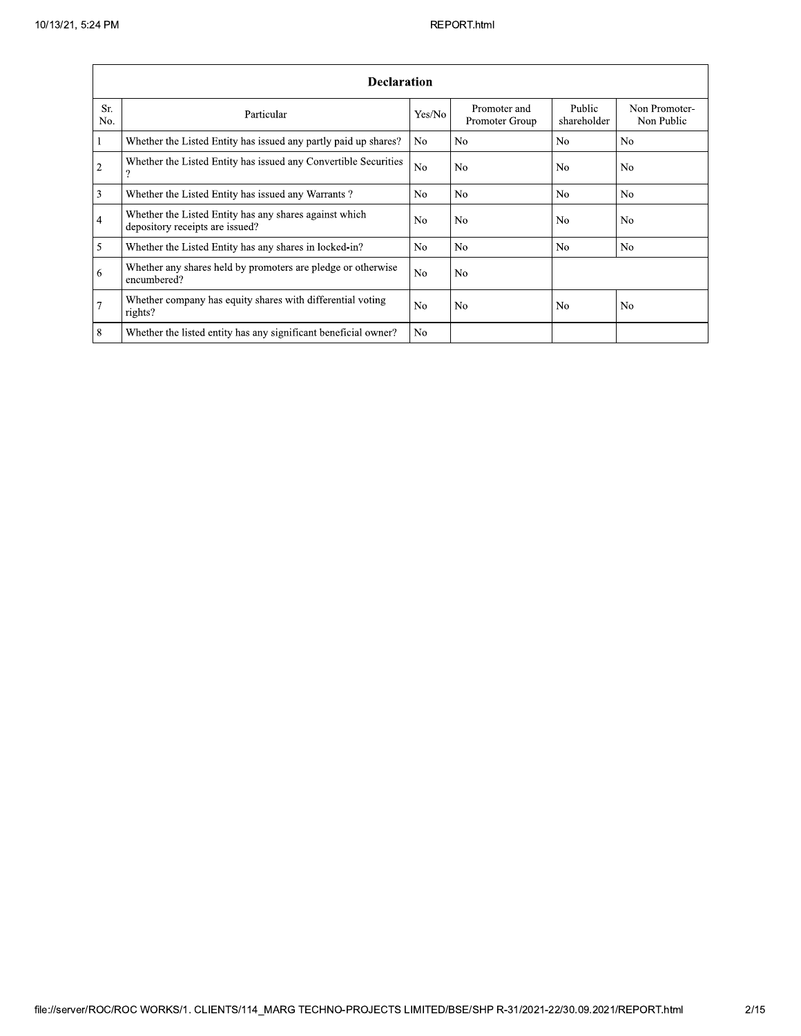## REPORT.html

|                  | <b>Declaration</b>                                                                        |                |                                |                       |                             |  |  |  |  |
|------------------|-------------------------------------------------------------------------------------------|----------------|--------------------------------|-----------------------|-----------------------------|--|--|--|--|
| Sr.<br>No.       | Particular                                                                                | Yes/No         | Promoter and<br>Promoter Group | Public<br>shareholder | Non Promoter-<br>Non Public |  |  |  |  |
| 1                | Whether the Listed Entity has issued any partly paid up shares?                           | No.            | N <sub>o</sub>                 | N <sub>o</sub>        | No.                         |  |  |  |  |
| $\overline{2}$   | Whether the Listed Entity has issued any Convertible Securities<br>റ                      | N <sub>0</sub> | N <sub>o</sub>                 | N <sub>o</sub>        | No                          |  |  |  |  |
| 3                | Whether the Listed Entity has issued any Warrants?                                        | No.            | No                             | N <sub>0</sub>        | No.                         |  |  |  |  |
| $\overline{4}$   | Whether the Listed Entity has any shares against which<br>depository receipts are issued? | No             | N <sub>0</sub>                 | N <sub>o</sub>        | No                          |  |  |  |  |
| 5                | Whether the Listed Entity has any shares in locked-in?                                    | N <sub>0</sub> | N <sub>0</sub>                 | N <sub>0</sub>        | N <sub>0</sub>              |  |  |  |  |
| 6                | Whether any shares held by promoters are pledge or otherwise<br>encumbered?               | N <sub>0</sub> | N <sub>0</sub>                 |                       |                             |  |  |  |  |
| $\boldsymbol{7}$ | Whether company has equity shares with differential voting<br>rights?                     | No             | N <sub>o</sub>                 | N <sub>o</sub>        | No.                         |  |  |  |  |
| 8                | Whether the listed entity has any significant beneficial owner?                           | N <sub>0</sub> |                                |                       |                             |  |  |  |  |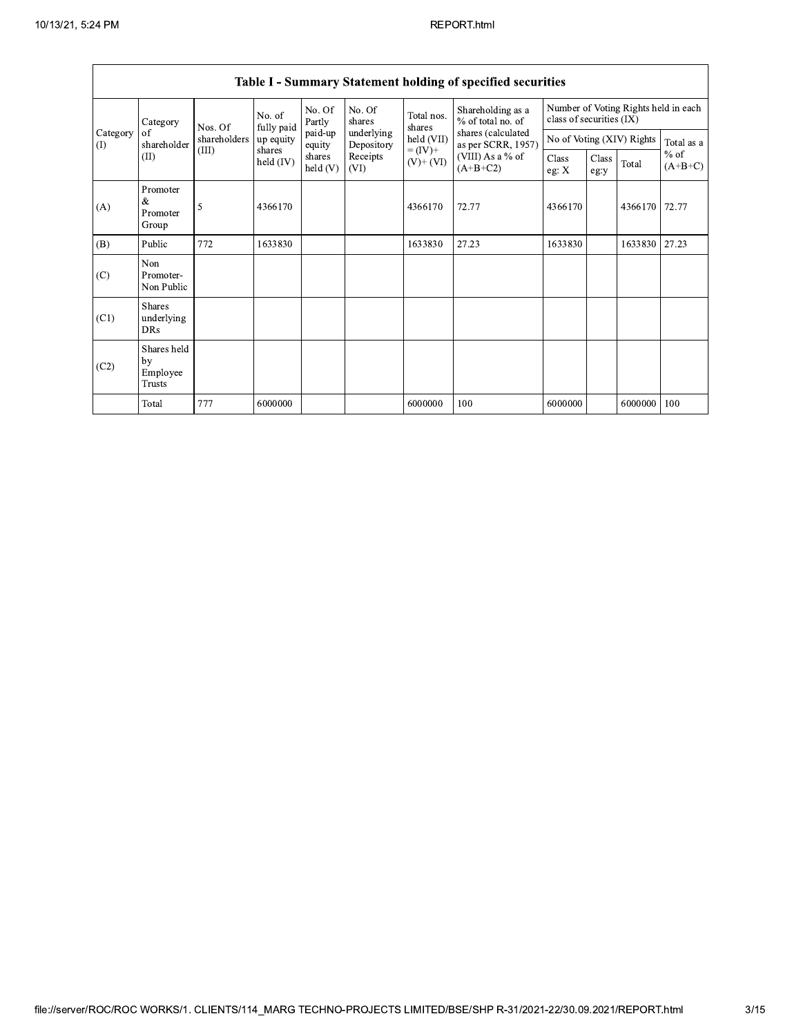| Category<br>of<br>Category<br>shareholder<br>(1) | Nos. Of                                                                                                         | No. of<br>fully paid             | No. Of<br>Partly  | No. Of<br>shares         | Total nos.<br>shares | Shareholding as a<br>% of total no. of   | Number of Voting Rights held in each<br>class of securities (IX) |         |                           |            |       |
|--------------------------------------------------|-----------------------------------------------------------------------------------------------------------------|----------------------------------|-------------------|--------------------------|----------------------|------------------------------------------|------------------------------------------------------------------|---------|---------------------------|------------|-------|
|                                                  | shareholders                                                                                                    | up equity                        | paid-up<br>equity | underlying<br>Depository | held (VII)           | shares (calculated<br>as per SCRR, 1957) |                                                                  |         | No of Voting (XIV) Rights | Total as a |       |
|                                                  | $= (IV) +$<br>(III)<br>shares<br>Receipts<br>shares<br>(II)<br>held $(IV)$<br>$(V)$ + $(VI)$<br>held(V)<br>(VI) | (VIII) As a $%$ of<br>$(A+B+C2)$ | Class<br>eg: X    | Class<br>eg y            | Total                | $%$ of<br>$(A+B+C)$                      |                                                                  |         |                           |            |       |
| (A)                                              | Promoter<br>&<br>Promoter<br>Group                                                                              | 5                                | 4366170           |                          |                      | 4366170                                  | 72.77                                                            | 4366170 |                           | 4366170    | 72.77 |
| (B)                                              | Public                                                                                                          | 772                              | 1633830           |                          |                      | 1633830                                  | 27.23                                                            | 1633830 |                           | 1633830    | 27.23 |
| (C)                                              | Non<br>Promoter-<br>Non Public                                                                                  |                                  |                   |                          |                      |                                          |                                                                  |         |                           |            |       |
| (C1)                                             | <b>Shares</b><br>underlying<br>DRs                                                                              |                                  |                   |                          |                      |                                          |                                                                  |         |                           |            |       |
| (C2)                                             | Shares held<br>by<br>Employee<br><b>Trusts</b>                                                                  |                                  |                   |                          |                      |                                          |                                                                  |         |                           |            |       |
|                                                  | Total                                                                                                           | 777                              | 6000000           |                          |                      | 6000000                                  | 100                                                              | 6000000 |                           | 6000000    | 100   |

# Table I - Summary Statement holding of specified securities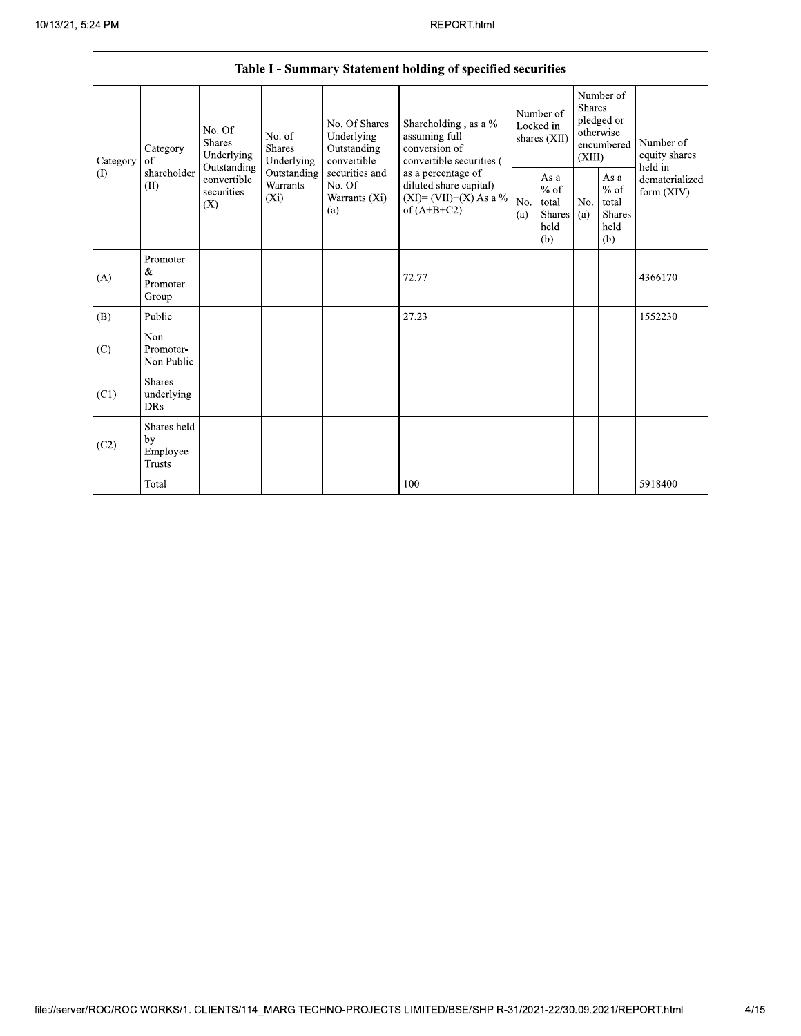|                                                                                 |                                                 |                                           |                                                  |                                                                                          | Table I - Summary Statement holding of specified securities                        |                                                         |            |                                                                               |                              |                                       |
|---------------------------------------------------------------------------------|-------------------------------------------------|-------------------------------------------|--------------------------------------------------|------------------------------------------------------------------------------------------|------------------------------------------------------------------------------------|---------------------------------------------------------|------------|-------------------------------------------------------------------------------|------------------------------|---------------------------------------|
| Category<br>Category<br>οf<br>shareholder<br>$\left( \mathrm{I}\right)$<br>(II) |                                                 | No. Of<br><b>Shares</b><br>Underlying     | No. of<br>Shares<br>Underlying                   | No. Of Shares<br>Underlying<br>Outstanding<br>convertible                                | Shareholding, as a %<br>assuming full<br>conversion of<br>convertible securities ( | Number of<br>Locked in<br>shares (XII)                  |            | Number of<br><b>Shares</b><br>pledged or<br>otherwise<br>encumbered<br>(XIII) |                              | Number of<br>equity shares<br>held in |
|                                                                                 | Outstanding<br>convertible<br>securities<br>(X) | Outstanding<br><b>Warrants</b><br>$(X_i)$ | securities and<br>No. Of<br>Warrants (Xi)<br>(a) | as a percentage of<br>diluted share capital)<br>$(XI)=(VII)+(X) As a %$<br>of $(A+B+C2)$ | No.<br>(a)                                                                         | As a<br>$%$ of<br>total<br><b>Shares</b><br>held<br>(b) | No.<br>(a) | As a<br>$%$ of<br>total<br><b>Shares</b><br>held<br>(b)                       | dematerialized<br>form (XIV) |                                       |
| (A)                                                                             | Promoter<br>&<br>Promoter<br>Group              |                                           |                                                  |                                                                                          | 72.77                                                                              |                                                         |            |                                                                               |                              | 4366170                               |
| (B)                                                                             | Public                                          |                                           |                                                  |                                                                                          | 27.23                                                                              |                                                         |            |                                                                               |                              | 1552230                               |
| (C)                                                                             | Non<br>Promoter-<br>Non Public                  |                                           |                                                  |                                                                                          |                                                                                    |                                                         |            |                                                                               |                              |                                       |
| (C1)                                                                            | <b>Shares</b><br>underlying<br><b>DRs</b>       |                                           |                                                  |                                                                                          |                                                                                    |                                                         |            |                                                                               |                              |                                       |
| (C2)                                                                            | Shares held<br>by<br>Employee<br><b>Trusts</b>  |                                           |                                                  |                                                                                          |                                                                                    |                                                         |            |                                                                               |                              |                                       |
|                                                                                 | Total                                           |                                           |                                                  |                                                                                          | 100                                                                                |                                                         |            |                                                                               |                              | 5918400                               |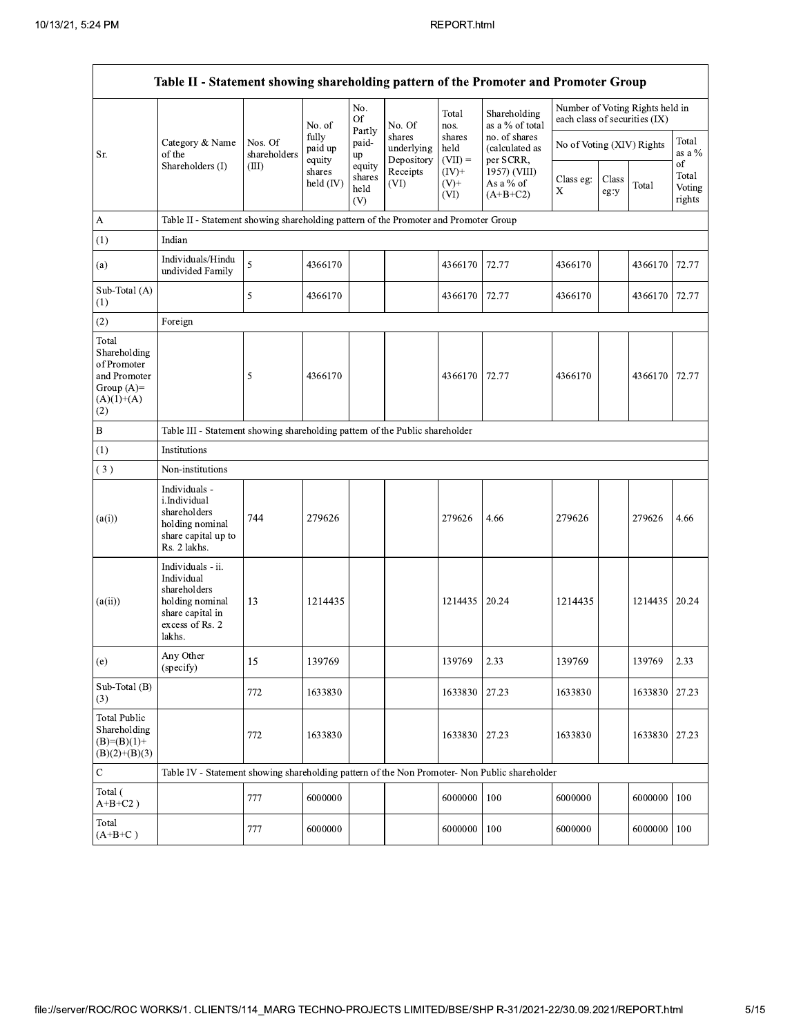| Table II - Statement showing shareholding pattern of the Promoter and Promoter Group        |                                                                                                                     |                                                                                      |                            |                                 |                                    |                             |                                              |                                                                  |               |                 |                                 |
|---------------------------------------------------------------------------------------------|---------------------------------------------------------------------------------------------------------------------|--------------------------------------------------------------------------------------|----------------------------|---------------------------------|------------------------------------|-----------------------------|----------------------------------------------|------------------------------------------------------------------|---------------|-----------------|---------------------------------|
|                                                                                             |                                                                                                                     |                                                                                      | No. of                     | No.<br><b>Of</b>                | No. Of                             | Total<br>nos.               | Shareholding<br>as a % of total              | Number of Voting Rights held in<br>each class of securities (IX) |               |                 |                                 |
| Sr.                                                                                         | Category & Name<br>of the                                                                                           | Nos. Of<br>shareholders                                                              | fully<br>paid up<br>equity | Partly<br>paid-<br>up           | shares<br>underlying<br>Depository | shares<br>held<br>$(VII) =$ | no. of shares<br>(calculated as<br>per SCRR, | No of Voting (XIV) Rights                                        |               |                 | Total<br>as a $\%$              |
|                                                                                             | Shareholders (I)                                                                                                    | (III)                                                                                | shares<br>held $(IV)$      | equity<br>shares<br>held<br>(V) | Receipts<br>(VI)                   | $(IV)+$<br>$(V)$ +<br>(VI)  | 1957) (VIII)<br>As a % of<br>$(A+B+C2)$      | Class eg:<br>X                                                   | Class<br>eg:y | Total           | of<br>Total<br>Voting<br>rights |
| A                                                                                           |                                                                                                                     | Table II - Statement showing shareholding pattern of the Promoter and Promoter Group |                            |                                 |                                    |                             |                                              |                                                                  |               |                 |                                 |
| (1)                                                                                         | Indian                                                                                                              |                                                                                      |                            |                                 |                                    |                             |                                              |                                                                  |               |                 |                                 |
| (a)                                                                                         | Individuals/Hindu<br>undivided Family                                                                               | 5                                                                                    | 4366170                    |                                 |                                    | 4366170                     | 72.77                                        | 4366170                                                          |               | 4366170 72.77   |                                 |
| Sub-Total (A)<br>(1)                                                                        |                                                                                                                     | 5                                                                                    | 4366170                    |                                 |                                    | 4366170                     | 72.77                                        | 4366170                                                          |               | 4366170 72.77   |                                 |
| (2)                                                                                         | Foreign                                                                                                             |                                                                                      |                            |                                 |                                    |                             |                                              |                                                                  |               |                 |                                 |
| Total<br>Shareholding<br>of Promoter<br>and Promoter<br>Group $(A)=$<br>$(A)(1)+(A)$<br>(2) |                                                                                                                     | 5                                                                                    | 4366170                    |                                 |                                    | 4366170                     | 72.77                                        | 4366170                                                          |               | 4366170 72.77   |                                 |
| B                                                                                           | Table III - Statement showing shareholding pattern of the Public shareholder                                        |                                                                                      |                            |                                 |                                    |                             |                                              |                                                                  |               |                 |                                 |
| (1)                                                                                         | Institutions                                                                                                        |                                                                                      |                            |                                 |                                    |                             |                                              |                                                                  |               |                 |                                 |
| (3)                                                                                         | Non-institutions                                                                                                    |                                                                                      |                            |                                 |                                    |                             |                                              |                                                                  |               |                 |                                 |
| (a(i))                                                                                      | Individuals -<br>i.Individual<br>shareholders<br>holding nominal<br>share capital up to<br>Rs. 2 lakhs.             | 744                                                                                  | 279626                     |                                 |                                    | 279626                      | 4.66                                         | 279626                                                           |               | 279626          | 4.66                            |
| (a(ii))                                                                                     | Individuals - ii.<br>Individual<br>shareholders<br>holding nominal<br>share capital in<br>excess of Rs. 2<br>lakhs. | 13                                                                                   | 1214435                    |                                 |                                    | 1214435                     | 20.24                                        | 1214435                                                          |               | 1214435   20.24 |                                 |
| (e)                                                                                         | Any Other<br>(specify)                                                                                              | 15                                                                                   | 139769                     |                                 |                                    | 139769                      | 2.33                                         | 139769                                                           |               | 139769          | 2.33                            |
| Sub-Total (B)<br>(3)                                                                        |                                                                                                                     | 772                                                                                  | 1633830                    |                                 |                                    | 1633830                     | 27.23                                        | 1633830                                                          |               | 1633830         | 27.23                           |
| <b>Total Public</b><br>Shareholding<br>$(B)=(B)(1)+$<br>$(B)(2)+(B)(3)$                     |                                                                                                                     | 772                                                                                  | 1633830                    |                                 |                                    | 1633830                     | 27.23                                        | 1633830                                                          |               | 1633830 27.23   |                                 |
| $\mathbf C$                                                                                 | Table IV - Statement showing shareholding pattern of the Non Promoter- Non Public shareholder                       |                                                                                      |                            |                                 |                                    |                             |                                              |                                                                  |               |                 |                                 |
| Total (<br>$A+B+C2$ )                                                                       |                                                                                                                     | 777                                                                                  | 6000000                    |                                 |                                    | 6000000                     | 100                                          | 6000000                                                          |               | 6000000         | 100                             |
| Total<br>$(A+B+C)$                                                                          |                                                                                                                     | 777                                                                                  | 6000000                    |                                 |                                    | 6000000                     | 100                                          | 6000000                                                          |               | 6000000         | 100                             |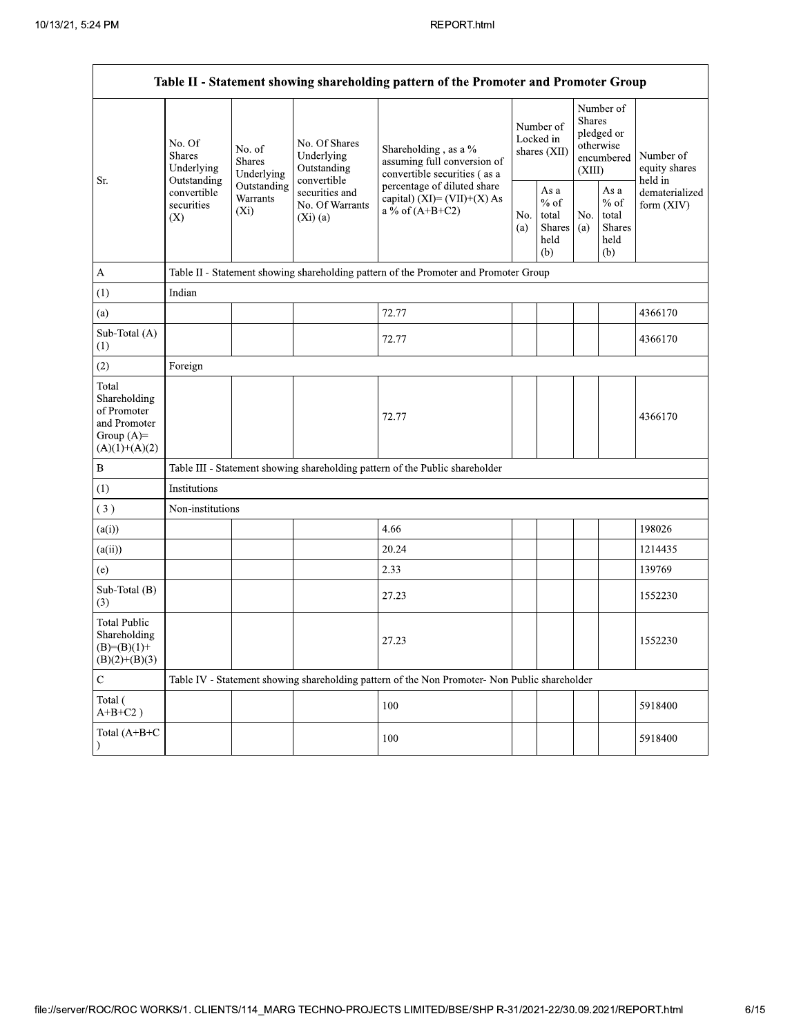|                                                                                         |                                                                                                                                |                         |                                                             | Table II - Statement showing shareholding pattern of the Promoter and Promoter Group                                                                                      |  |                                                  |            |                                                                               |                                       |
|-----------------------------------------------------------------------------------------|--------------------------------------------------------------------------------------------------------------------------------|-------------------------|-------------------------------------------------------------|---------------------------------------------------------------------------------------------------------------------------------------------------------------------------|--|--------------------------------------------------|------------|-------------------------------------------------------------------------------|---------------------------------------|
| Sr.                                                                                     | No. Of<br>No. of<br><b>Shares</b><br><b>Shares</b><br>Underlying<br>Outstanding<br>convertible<br>securities<br>$(X_i)$<br>(X) | Underlying              | No. Of Shares<br>Underlying<br>Outstanding                  | Shareholding, as a %<br>assuming full conversion of<br>convertible securities (as a<br>percentage of diluted share<br>capital) $(XI) = (VII)+(X) As$<br>a % of $(A+B+C2)$ |  | Number of<br>Locked in<br>shares (XII)           |            | Number of<br><b>Shares</b><br>pledged or<br>otherwise<br>encumbered<br>(XIII) | Number of<br>equity shares<br>held in |
|                                                                                         |                                                                                                                                | Outstanding<br>Warrants | convertible<br>securities and<br>No. Of Warrants<br>(Xi)(a) |                                                                                                                                                                           |  | As a<br>$%$ of<br>total<br>Shares<br>held<br>(b) | No.<br>(a) | As a<br>$%$ of<br>total<br>Shares<br>held<br>(b)                              | dematerialized<br>form (XIV)          |
| A                                                                                       |                                                                                                                                |                         |                                                             | Table II - Statement showing shareholding pattern of the Promoter and Promoter Group                                                                                      |  |                                                  |            |                                                                               |                                       |
| (1)                                                                                     | Indian                                                                                                                         |                         |                                                             |                                                                                                                                                                           |  |                                                  |            |                                                                               |                                       |
| (a)                                                                                     |                                                                                                                                |                         |                                                             | 72.77                                                                                                                                                                     |  |                                                  |            |                                                                               | 4366170                               |
| Sub-Total (A)<br>(1)                                                                    |                                                                                                                                |                         |                                                             | 72.77                                                                                                                                                                     |  |                                                  |            |                                                                               | 4366170                               |
| (2)                                                                                     | Foreign                                                                                                                        |                         |                                                             |                                                                                                                                                                           |  |                                                  |            |                                                                               |                                       |
| Total<br>Shareholding<br>of Promoter<br>and Promoter<br>Group $(A)=$<br>$(A)(1)+(A)(2)$ |                                                                                                                                |                         |                                                             | 72.77                                                                                                                                                                     |  |                                                  |            |                                                                               | 4366170                               |
| B                                                                                       |                                                                                                                                |                         |                                                             | Table III - Statement showing shareholding pattern of the Public shareholder                                                                                              |  |                                                  |            |                                                                               |                                       |
| (1)                                                                                     | Institutions                                                                                                                   |                         |                                                             |                                                                                                                                                                           |  |                                                  |            |                                                                               |                                       |
| (3)                                                                                     | Non-institutions                                                                                                               |                         |                                                             |                                                                                                                                                                           |  |                                                  |            |                                                                               |                                       |
| (a(i))                                                                                  |                                                                                                                                |                         |                                                             | 4.66                                                                                                                                                                      |  |                                                  |            |                                                                               | 198026                                |
| (a(ii))                                                                                 |                                                                                                                                |                         |                                                             | 20.24                                                                                                                                                                     |  |                                                  |            |                                                                               | 1214435                               |
| (e)                                                                                     |                                                                                                                                |                         |                                                             | 2.33                                                                                                                                                                      |  |                                                  |            |                                                                               | 139769                                |
| Sub-Total (B)<br>(3)                                                                    |                                                                                                                                |                         |                                                             | 27.23                                                                                                                                                                     |  |                                                  |            |                                                                               | 1552230                               |
| <b>Total Public</b><br>Shareholding<br>$(B)=(B)(1)+$<br>$(B)(2)+(B)(3)$                 |                                                                                                                                |                         |                                                             | 27.23                                                                                                                                                                     |  |                                                  |            |                                                                               | 1552230                               |
| C                                                                                       |                                                                                                                                |                         |                                                             | Table IV - Statement showing shareholding pattern of the Non Promoter- Non Public shareholder                                                                             |  |                                                  |            |                                                                               |                                       |
| Total (<br>$A+B+C2$ )                                                                   |                                                                                                                                |                         |                                                             | 100                                                                                                                                                                       |  |                                                  |            |                                                                               | 5918400                               |
| Total $(A+B+C)$<br>$\mathcal{E}$                                                        |                                                                                                                                |                         |                                                             | 100                                                                                                                                                                       |  |                                                  |            |                                                                               | 5918400                               |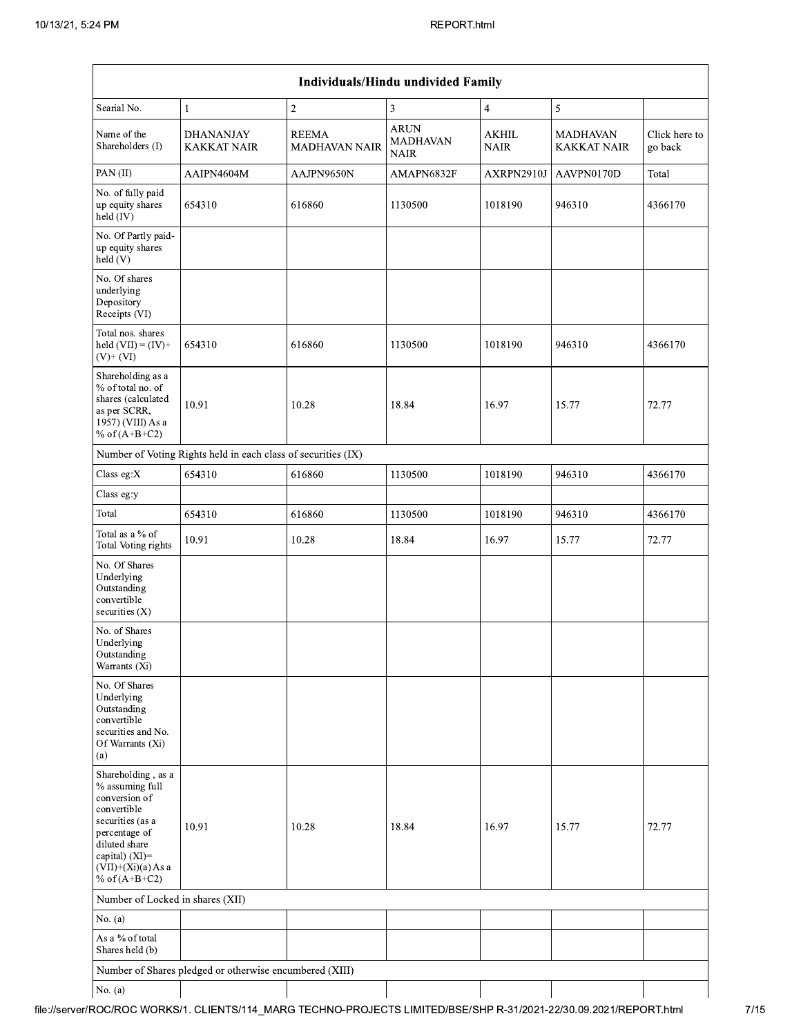| Individuals/Hindu undivided Family                                                                                                                                                       |                                                               |                                      |                                               |                             |                         |                          |  |  |  |
|------------------------------------------------------------------------------------------------------------------------------------------------------------------------------------------|---------------------------------------------------------------|--------------------------------------|-----------------------------------------------|-----------------------------|-------------------------|--------------------------|--|--|--|
| Searial No.                                                                                                                                                                              | 1                                                             | $\sqrt{2}$                           | 3                                             | $\overline{\mathbf{4}}$     | 5                       |                          |  |  |  |
| Name of the<br>Shareholders (I)                                                                                                                                                          | <b>DHANANJAY</b><br><b>KAKKAT NAIR</b>                        | <b>REEMA</b><br><b>MADHAVAN NAIR</b> | <b>ARUN</b><br><b>MADHAVAN</b><br><b>NAIR</b> | <b>AKHIL</b><br><b>NAIR</b> | MADHAVAN<br>KAKKAT NAIR | Click here to<br>go back |  |  |  |
| PAN(II)                                                                                                                                                                                  | AAIPN4604M                                                    | AAJPN9650N                           | AMAPN6832F                                    | AXRPN2910J                  | AAVPN0170D              | Total                    |  |  |  |
| No. of fully paid<br>up equity shares<br>held (IV)                                                                                                                                       | 654310                                                        | 616860                               | 1130500                                       | 1018190                     | 946310                  | 4366170                  |  |  |  |
| No. Of Partly paid-<br>up equity shares<br>held(V)                                                                                                                                       |                                                               |                                      |                                               |                             |                         |                          |  |  |  |
| No. Of shares<br>underlying<br>Depository<br>Receipts (VI)                                                                                                                               |                                                               |                                      |                                               |                             |                         |                          |  |  |  |
| Total nos. shares<br>held $(VII) = (IV) +$<br>$(V)$ + $(VI)$                                                                                                                             | 654310                                                        | 616860                               | 1130500                                       | 1018190                     | 946310                  | 4366170                  |  |  |  |
| Shareholding as a<br>% of total no. of<br>shares (calculated<br>as per SCRR,<br>1957) (VIII) As a<br>% of $(A+B+C2)$                                                                     | 10.91                                                         | 10.28                                | 18.84                                         | 16.97                       | 15.77                   | 72.77                    |  |  |  |
|                                                                                                                                                                                          | Number of Voting Rights held in each class of securities (IX) |                                      |                                               |                             |                         |                          |  |  |  |
| Class eg:X                                                                                                                                                                               | 654310                                                        | 616860                               | 1130500                                       | 1018190                     | 946310                  | 4366170                  |  |  |  |
| Class eg:y                                                                                                                                                                               |                                                               |                                      |                                               |                             |                         |                          |  |  |  |
| Total                                                                                                                                                                                    | 654310                                                        | 616860                               | 1130500                                       | 1018190                     | 946310                  | 4366170                  |  |  |  |
| Total as a % of<br><b>Total Voting rights</b>                                                                                                                                            | 10.91                                                         | 10.28                                | 18.84                                         | 16.97                       | 15.77                   | 72.77                    |  |  |  |
| No. Of Shares<br>Underlying<br>Outstanding<br>convertible<br>securities $(X)$                                                                                                            |                                                               |                                      |                                               |                             |                         |                          |  |  |  |
| No. of Shares<br>Underlying<br>Outstanding<br>Warrants (Xi)                                                                                                                              |                                                               |                                      |                                               |                             |                         |                          |  |  |  |
| No. Of Shares<br>Underlying<br>Outstanding<br>convertible<br>securities and No.<br>Of Warrants (Xi)<br>(a)                                                                               |                                                               |                                      |                                               |                             |                         |                          |  |  |  |
| Shareholding, as a<br>% assuming full<br>conversion of<br>convertible<br>securities (as a<br>percentage of<br>diluted share<br>capital) (XI)=<br>$(VII)+(Xi)(a)$ As a<br>% of $(A+B+C2)$ | 10.91                                                         | 10.28                                | 18.84                                         | 16.97                       | 15.77                   | 72.77                    |  |  |  |
| Number of Locked in shares (XII)                                                                                                                                                         |                                                               |                                      |                                               |                             |                         |                          |  |  |  |
| No. $(a)$                                                                                                                                                                                |                                                               |                                      |                                               |                             |                         |                          |  |  |  |
| As a % of total<br>Shares held (b)                                                                                                                                                       |                                                               |                                      |                                               |                             |                         |                          |  |  |  |
|                                                                                                                                                                                          | Number of Shares pledged or otherwise encumbered (XIII)       |                                      |                                               |                             |                         |                          |  |  |  |
| No. $(a)$                                                                                                                                                                                |                                                               |                                      |                                               |                             |                         |                          |  |  |  |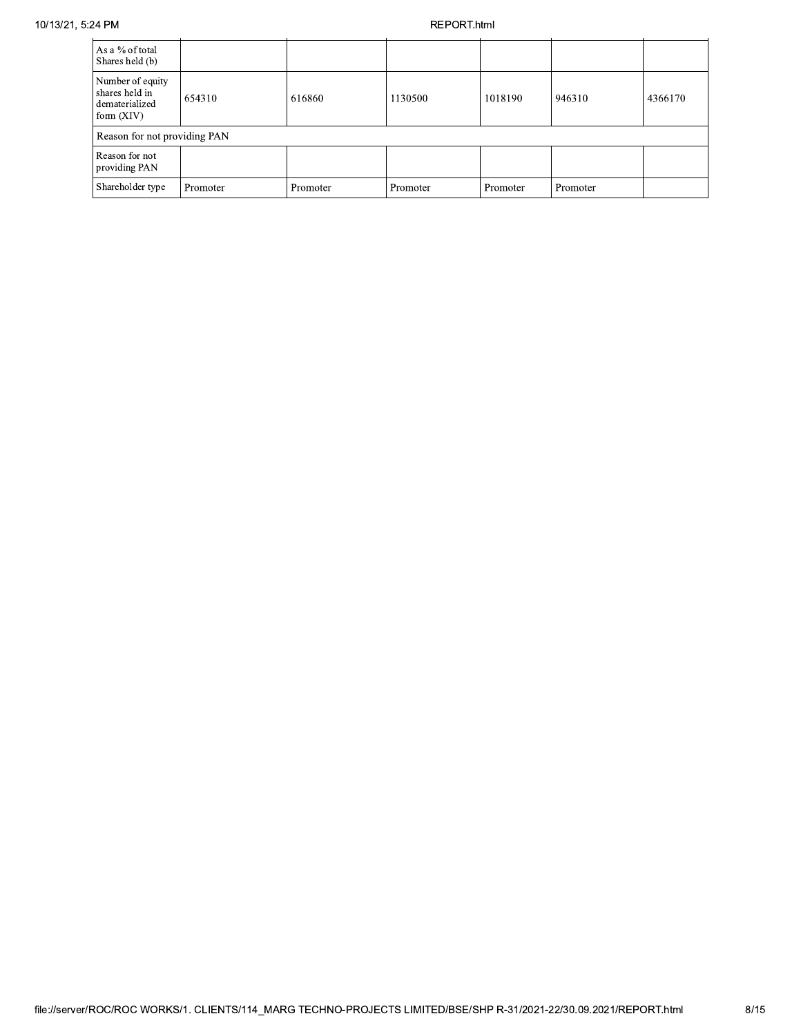## REPORT.html

| As a % of total<br>Shares held (b)                                   |          |          |          |          |          |         |
|----------------------------------------------------------------------|----------|----------|----------|----------|----------|---------|
| Number of equity<br>shares held in<br>dematerialized<br>form $(XIV)$ | 654310   | 616860   | 1130500  | 1018190  | 946310   | 4366170 |
| Reason for not providing PAN                                         |          |          |          |          |          |         |
| Reason for not<br>providing PAN                                      |          |          |          |          |          |         |
| Shareholder type                                                     | Promoter | Promoter | Promoter | Promoter | Promoter |         |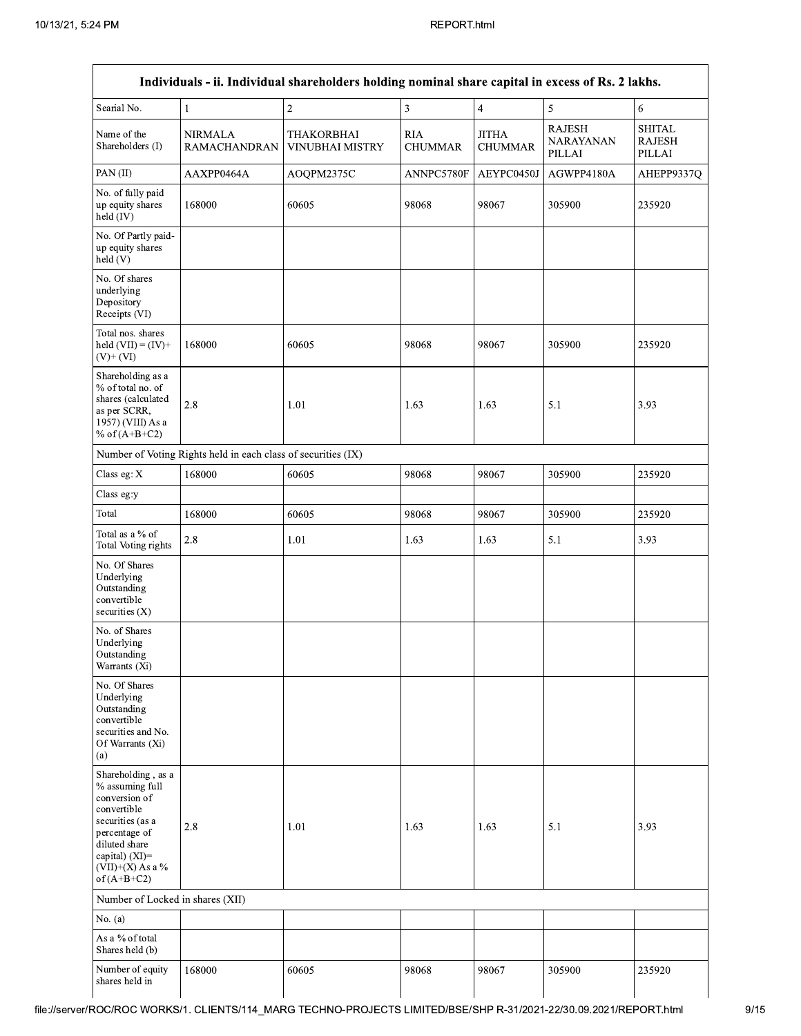| Searial No.                                                                                                                                                                             | $\mathbf{1}$                                                  | $\overline{2}$                              | $\overline{\mathbf{3}}$      | $\overline{4}$                 | 5                                           | 6                                        |
|-----------------------------------------------------------------------------------------------------------------------------------------------------------------------------------------|---------------------------------------------------------------|---------------------------------------------|------------------------------|--------------------------------|---------------------------------------------|------------------------------------------|
| Name of the<br>Shareholders (I)                                                                                                                                                         | <b>NIRMALA</b><br><b>RAMACHANDRAN</b>                         | <b>THAKORBHAI</b><br><b>VINUBHAI MISTRY</b> | <b>RIA</b><br><b>CHUMMAR</b> | <b>JITHA</b><br><b>CHUMMAR</b> | <b>RAJESH</b><br><b>NARAYANAN</b><br>PILLAI | <b>SHITAL</b><br><b>RAJESH</b><br>PILLAI |
| PAN(II)                                                                                                                                                                                 | AAXPP0464A                                                    | AOQPM2375C                                  | ANNPC5780F                   | AEYPC0450J                     | AGWPP4180A                                  | AHEPP9337Q                               |
| No. of fully paid<br>up equity shares<br>held $(IV)$                                                                                                                                    | 168000                                                        | 60605                                       | 98068                        | 98067                          | 305900                                      | 235920                                   |
| No. Of Partly paid-<br>up equity shares<br>$\text{held}(V)$                                                                                                                             |                                                               |                                             |                              |                                |                                             |                                          |
| No. Of shares<br>underlying<br>Depository<br>Receipts (VI)                                                                                                                              |                                                               |                                             |                              |                                |                                             |                                          |
| Total nos. shares<br>held $(VII) = (IV) +$<br>$(V)+(VI)$                                                                                                                                | 168000                                                        | 60605                                       | 98068                        | 98067                          | 305900                                      | 235920                                   |
| Shareholding as a<br>% of total no. of<br>shares (calculated<br>as per SCRR,<br>1957) (VIII) As a<br>% of $(A+B+C2)$                                                                    | 2.8                                                           | 1.01                                        | 1.63                         | 1.63                           | 5.1                                         | 3.93                                     |
|                                                                                                                                                                                         | Number of Voting Rights held in each class of securities (IX) |                                             |                              |                                |                                             |                                          |
| Class eg: X                                                                                                                                                                             | 168000                                                        | 60605                                       | 98068                        | 98067                          | 305900                                      | 235920                                   |
| Class eg:y                                                                                                                                                                              |                                                               |                                             |                              |                                |                                             |                                          |
| Total                                                                                                                                                                                   | 168000                                                        | 60605                                       | 98068                        | 98067                          | 305900                                      | 235920                                   |
| Total as a % of<br><b>Total Voting rights</b>                                                                                                                                           | 2.8                                                           | $1.01\,$                                    | 1.63                         | 1.63                           | 5.1                                         | 3.93                                     |
| No. Of Shares<br>Underlying<br>Outstanding<br>convertible<br>securities $(X)$                                                                                                           |                                                               |                                             |                              |                                |                                             |                                          |
| No. of Shares<br>Underlying<br>Outstanding<br>Warrants (Xi)                                                                                                                             |                                                               |                                             |                              |                                |                                             |                                          |
| No. Of Shares<br>Underlying<br>Outstanding<br>convertible<br>securities and No.<br>Of Warrants (Xi)<br>(a)                                                                              |                                                               |                                             |                              |                                |                                             |                                          |
| Shareholding, as a<br>% assuming full<br>conversion of<br>convertible<br>securities (as a<br>percentage of<br>diluted share<br>capital) $(XI)$ =<br>$(VII)+(X)$ As a %<br>of $(A+B+C2)$ | 2.8                                                           | 1.01                                        | 1.63                         | 1.63                           | 5.1                                         | 3.93                                     |
| Number of Locked in shares (XII)                                                                                                                                                        |                                                               |                                             |                              |                                |                                             |                                          |
| No. (a)                                                                                                                                                                                 |                                                               |                                             |                              |                                |                                             |                                          |
| As a % of total<br>Shares held (b)                                                                                                                                                      |                                                               |                                             |                              |                                |                                             |                                          |
| Number of equity<br>shares held in                                                                                                                                                      | 168000                                                        | 60605                                       | 98068                        | 98067                          | 305900                                      | 235920                                   |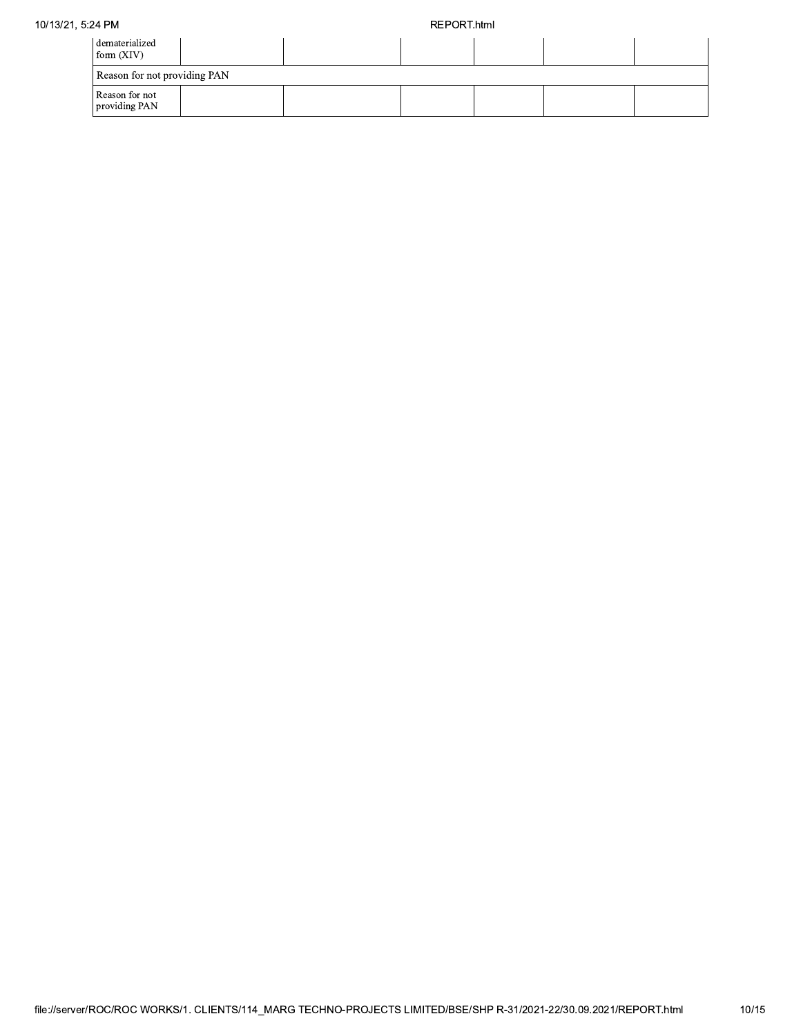# 10/13/21, 5:24 PM

## REPORT.html

| dematerialized<br>form $(XIV)$  |  |  |  |
|---------------------------------|--|--|--|
| Reason for not providing PAN    |  |  |  |
| Reason for not<br>providing PAN |  |  |  |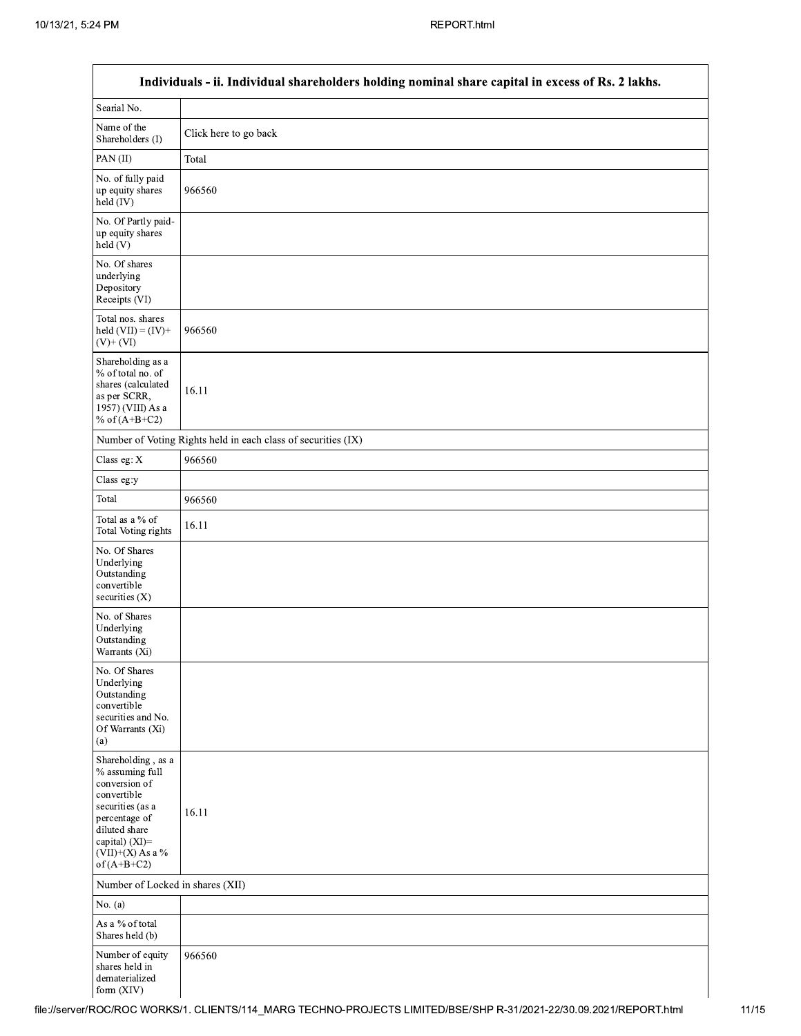Г

|                                                                                                                                                                                      | Individuals - ii. Individual shareholders holding nominal share capital in excess of Rs. 2 lakhs. |
|--------------------------------------------------------------------------------------------------------------------------------------------------------------------------------------|---------------------------------------------------------------------------------------------------|
| Searial No.                                                                                                                                                                          |                                                                                                   |
| Name of the<br>Shareholders (I)                                                                                                                                                      | Click here to go back                                                                             |
| PAN(II)                                                                                                                                                                              | Total                                                                                             |
| No. of fully paid<br>up equity shares<br>held (IV)                                                                                                                                   | 966560                                                                                            |
| No. Of Partly paid-<br>up equity shares<br>held (V)                                                                                                                                  |                                                                                                   |
| No. Of shares<br>underlying<br>Depository<br>Receipts (VI)                                                                                                                           |                                                                                                   |
| Total nos. shares<br>held $(VII) = (IV) +$<br>$(V)$ + $(VI)$                                                                                                                         | 966560                                                                                            |
| Shareholding as a<br>% of total no. of<br>shares (calculated<br>as per SCRR,<br>1957) (VIII) As a<br>% of $(A+B+C2)$                                                                 | 16.11                                                                                             |
|                                                                                                                                                                                      | Number of Voting Rights held in each class of securities (IX)                                     |
| Class eg: X                                                                                                                                                                          | 966560                                                                                            |
| Class eg:y                                                                                                                                                                           |                                                                                                   |
| Total                                                                                                                                                                                | 966560                                                                                            |
| Total as a % of<br><b>Total Voting rights</b>                                                                                                                                        | 16.11                                                                                             |
| No. Of Shares<br>Underlying<br>Outstanding<br>convertible<br>securities (X)                                                                                                          |                                                                                                   |
| No. of Shares<br>Underlying<br>Outstanding<br>Warrants (Xi)                                                                                                                          |                                                                                                   |
| No. Of Shares<br>Underlying<br>Outstanding<br>convertible<br>securities and No.<br>Of Warrants (Xi)<br>(a)                                                                           |                                                                                                   |
| Shareholding, as a<br>% assuming full<br>conversion of<br>convertible<br>securities (as a<br>percentage of<br>diluted share<br>capital) (XI)=<br>$(VII)+(X)$ As a %<br>of $(A+B+C2)$ | 16.11                                                                                             |
| Number of Locked in shares (XII)                                                                                                                                                     |                                                                                                   |
| No. (a)                                                                                                                                                                              |                                                                                                   |
| As a % of total<br>Shares held (b)                                                                                                                                                   |                                                                                                   |
| Number of equity<br>shares held in<br>dematerialized<br>form (XIV)                                                                                                                   | 966560                                                                                            |

٦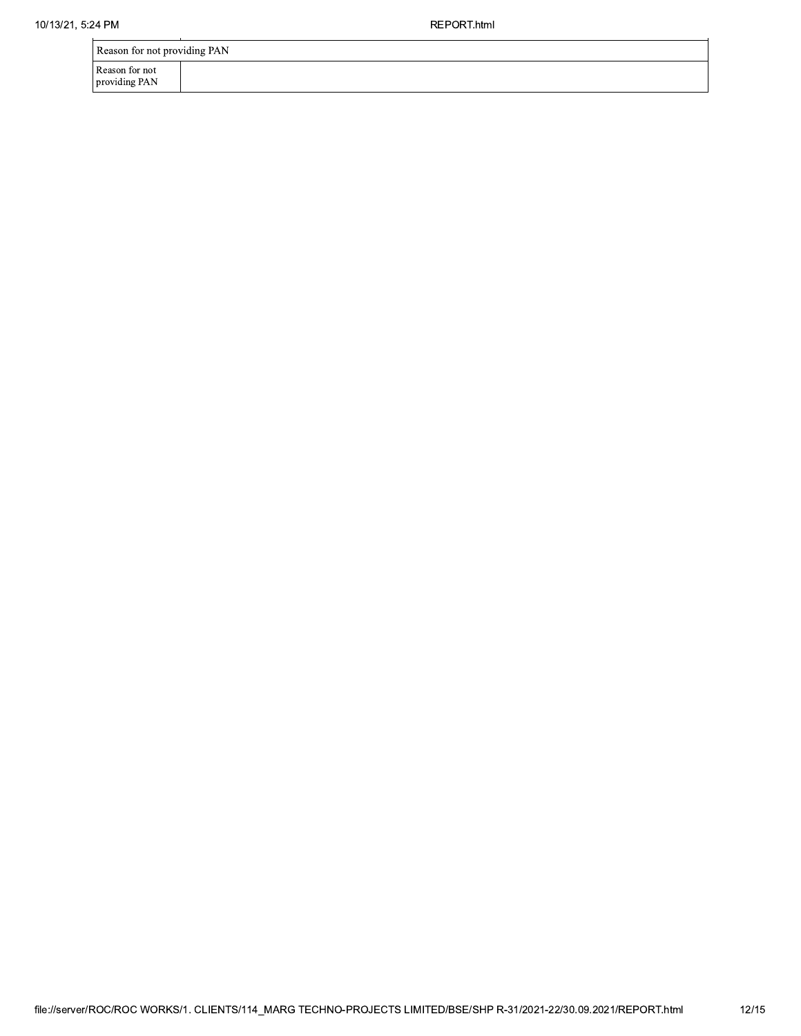REPORT.html

Reason for not<br>providing PAN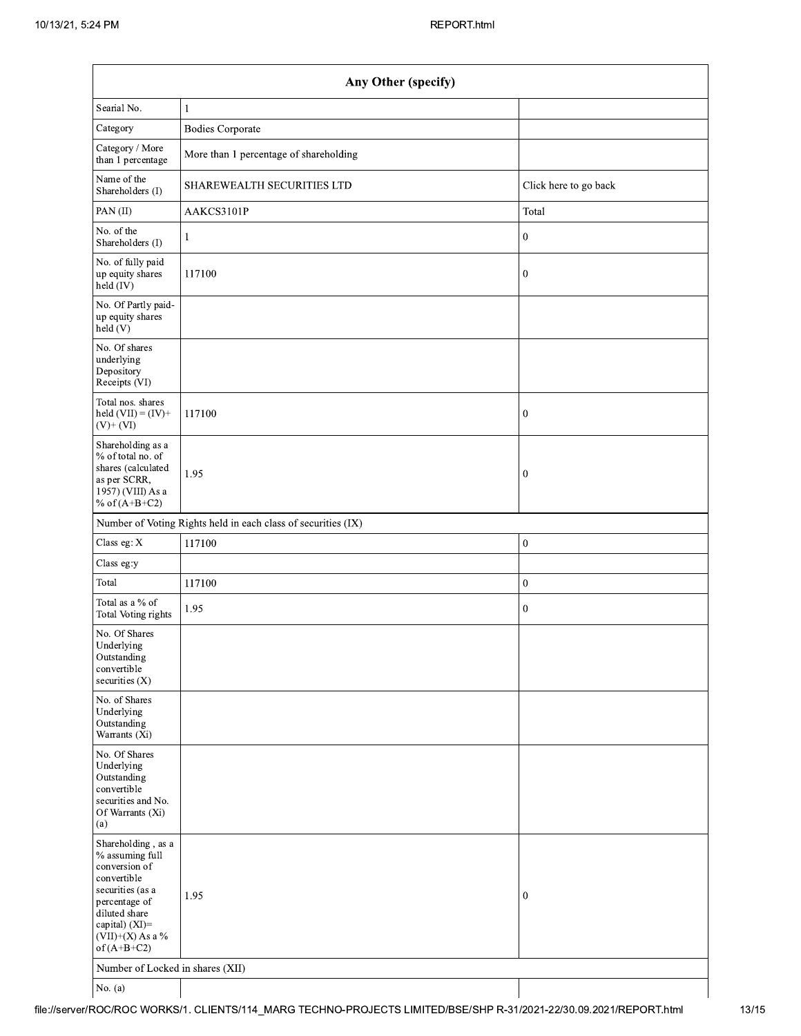| Any Other (specify)                                                                                                                                                                  |                                        |                       |  |
|--------------------------------------------------------------------------------------------------------------------------------------------------------------------------------------|----------------------------------------|-----------------------|--|
| Searial No.                                                                                                                                                                          | 1                                      |                       |  |
| Category                                                                                                                                                                             | <b>Bodies Corporate</b>                |                       |  |
| Category / More<br>than 1 percentage                                                                                                                                                 | More than 1 percentage of shareholding |                       |  |
| Name of the<br>Shareholders (I)                                                                                                                                                      | SHAREWEALTH SECURITIES LTD             | Click here to go back |  |
| PAN (II)                                                                                                                                                                             | AAKCS3101P                             | Total                 |  |
| No. of the<br>Shareholders (I)                                                                                                                                                       | 1                                      | $\mathbf{0}$          |  |
| No. of fully paid<br>up equity shares<br>held (IV)                                                                                                                                   | 117100                                 | $\mathbf{0}$          |  |
| No. Of Partly paid-<br>up equity shares<br>$\text{held}$ (V)                                                                                                                         |                                        |                       |  |
| No. Of shares<br>underlying<br>Depository<br>Receipts (VI)                                                                                                                           |                                        |                       |  |
| Total nos. shares<br>held $(VII) = (IV) +$<br>$(V)$ + $(VI)$                                                                                                                         | 117100                                 | $\mathbf{0}$          |  |
| Shareholding as a<br>% of total no. of<br>shares (calculated<br>as per SCRR,<br>1957) (VIII) As a<br>% of $(A+B+C2)$                                                                 | 1.95                                   | $\boldsymbol{0}$      |  |
| Number of Voting Rights held in each class of securities (IX)                                                                                                                        |                                        |                       |  |
| Class eg: X                                                                                                                                                                          | 117100                                 | $\mathbf 0$           |  |
| Class eg:y                                                                                                                                                                           |                                        |                       |  |
| Total                                                                                                                                                                                | 117100                                 | $\boldsymbol{0}$      |  |
| Total as a % of<br>Total Voting rights                                                                                                                                               | 1.95                                   | $\bf{0}$              |  |
| No. Of Shares<br>Underlying<br>Outstanding<br>convertible<br>securities (X)                                                                                                          |                                        |                       |  |
| No. of Shares<br>Underlying<br>Outstanding<br>Warrants (Xi)                                                                                                                          |                                        |                       |  |
| No. Of Shares<br>Underlying<br>Outstanding<br>convertible<br>securities and No.<br>Of Warrants (Xi)<br>(a)                                                                           |                                        |                       |  |
| Shareholding, as a<br>% assuming full<br>conversion of<br>convertible<br>securities (as a<br>percentage of<br>diluted share<br>capital) (XI)=<br>$(VII)+(X)$ As a %<br>of $(A+B+C2)$ | 1.95                                   | $\mathbf{0}$          |  |
| Number of Locked in shares (XII)                                                                                                                                                     |                                        |                       |  |
| No. $(a)$                                                                                                                                                                            |                                        |                       |  |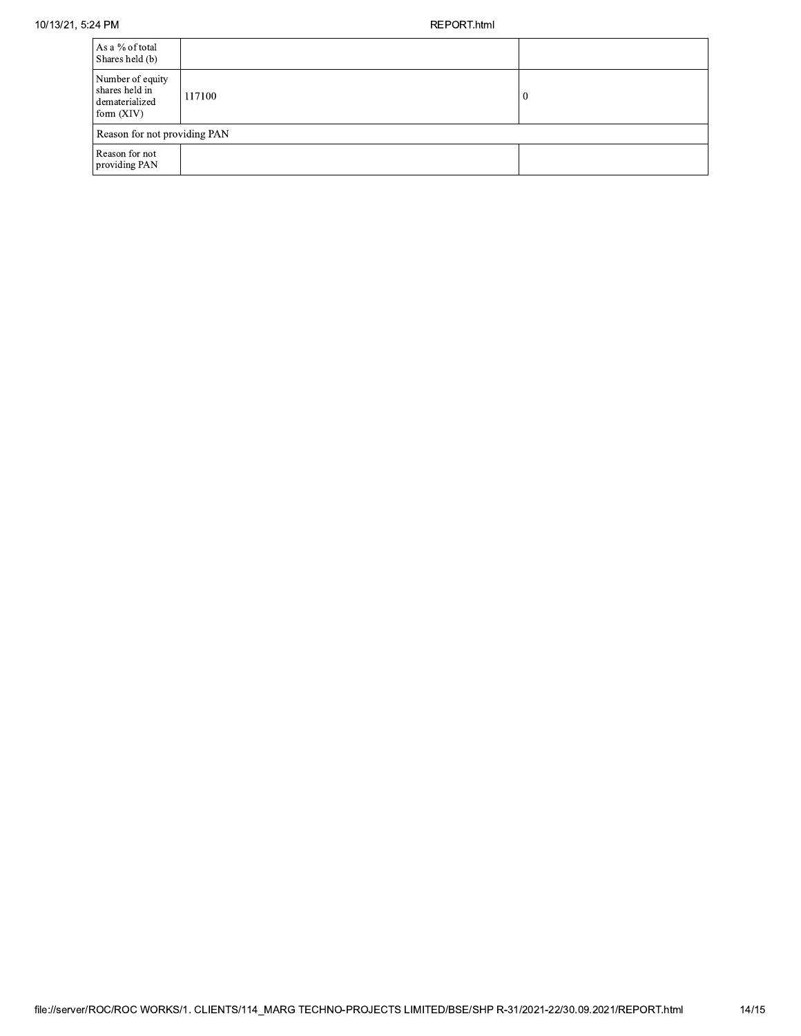| As a % of total<br>Shares held (b)                                   |        |    |  |
|----------------------------------------------------------------------|--------|----|--|
| Number of equity<br>shares held in<br>dematerialized<br>form $(XIV)$ | 117100 | -0 |  |
| Reason for not providing PAN                                         |        |    |  |
| Reason for not<br>providing PAN                                      |        |    |  |